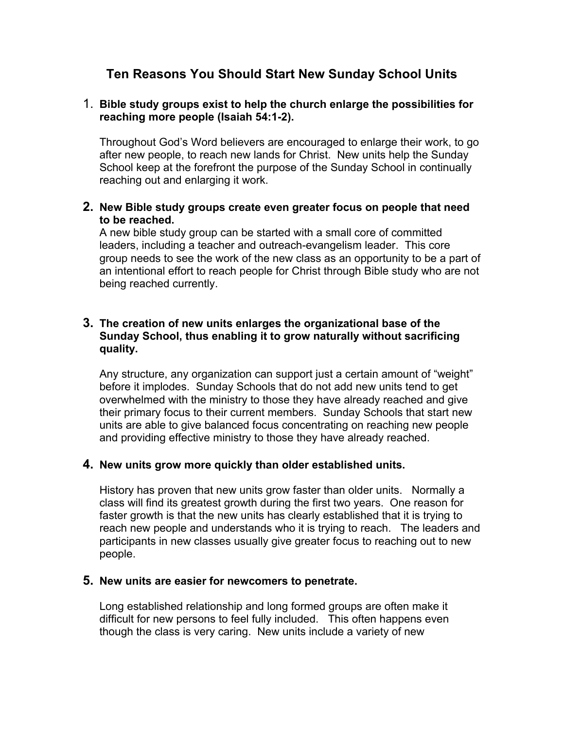# **Ten Reasons You Should Start New Sunday School Units**

## 1. **Bible study groups exist to help the church enlarge the possibilities for reaching more people (Isaiah 54:1-2).**

Throughout God's Word believers are encouraged to enlarge their work, to go after new people, to reach new lands for Christ. New units help the Sunday School keep at the forefront the purpose of the Sunday School in continually reaching out and enlarging it work.

## **2. New Bible study groups create even greater focus on people that need to be reached.**

A new bible study group can be started with a small core of committed leaders, including a teacher and outreach-evangelism leader. This core group needs to see the work of the new class as an opportunity to be a part of an intentional effort to reach people for Christ through Bible study who are not being reached currently.

## **3. The creation of new units enlarges the organizational base of the Sunday School, thus enabling it to grow naturally without sacrificing quality.**

Any structure, any organization can support just a certain amount of "weight" before it implodes. Sunday Schools that do not add new units tend to get overwhelmed with the ministry to those they have already reached and give their primary focus to their current members. Sunday Schools that start new units are able to give balanced focus concentrating on reaching new people and providing effective ministry to those they have already reached.

## **4. New units grow more quickly than older established units.**

History has proven that new units grow faster than older units. Normally a class will find its greatest growth during the first two years. One reason for faster growth is that the new units has clearly established that it is trying to reach new people and understands who it is trying to reach. The leaders and participants in new classes usually give greater focus to reaching out to new people.

## **5. New units are easier for newcomers to penetrate.**

Long established relationship and long formed groups are often make it difficult for new persons to feel fully included. This often happens even though the class is very caring. New units include a variety of new